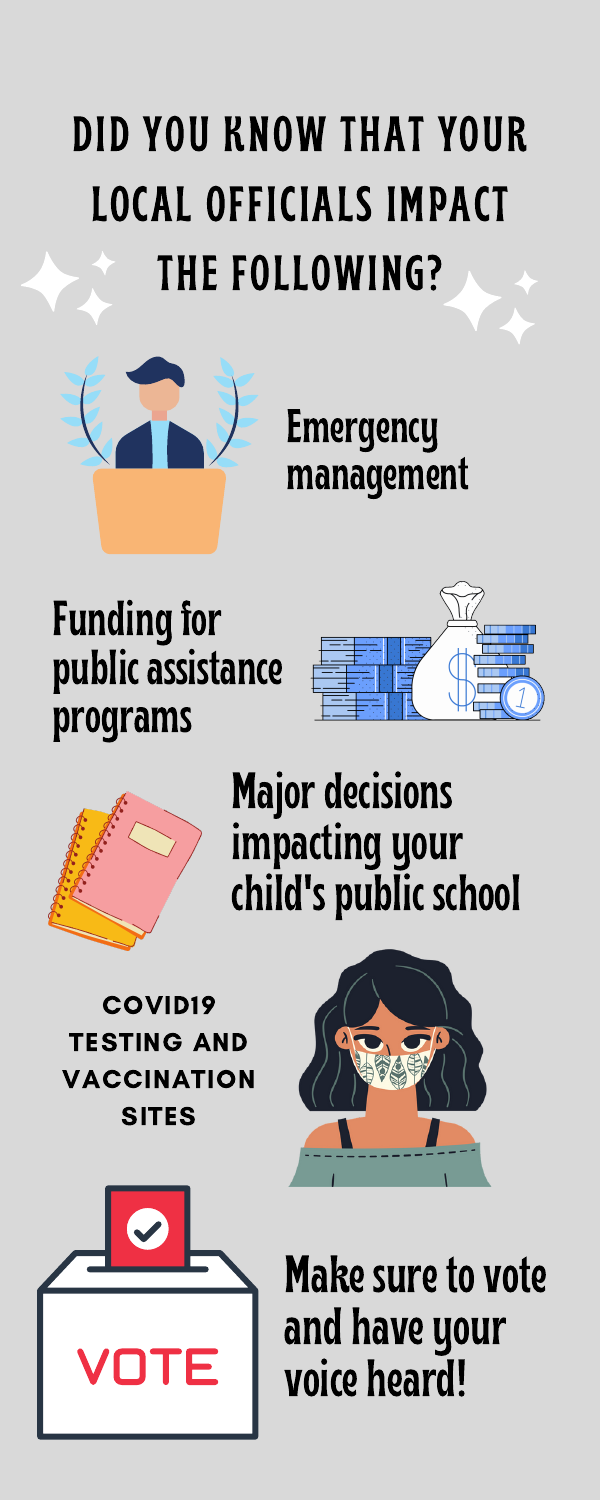# DID YOU KNOW THAT YOUR LOCAL OFFICIALS IMPACT THE FOLLOWING?



### **Emergency** management

### **Funding for** public assistance programs





**Major decisions** impacting your child's public school



### COVID19 TESTING AND VACCINATION **SITES**





## Make sure to vote and have your voice heard!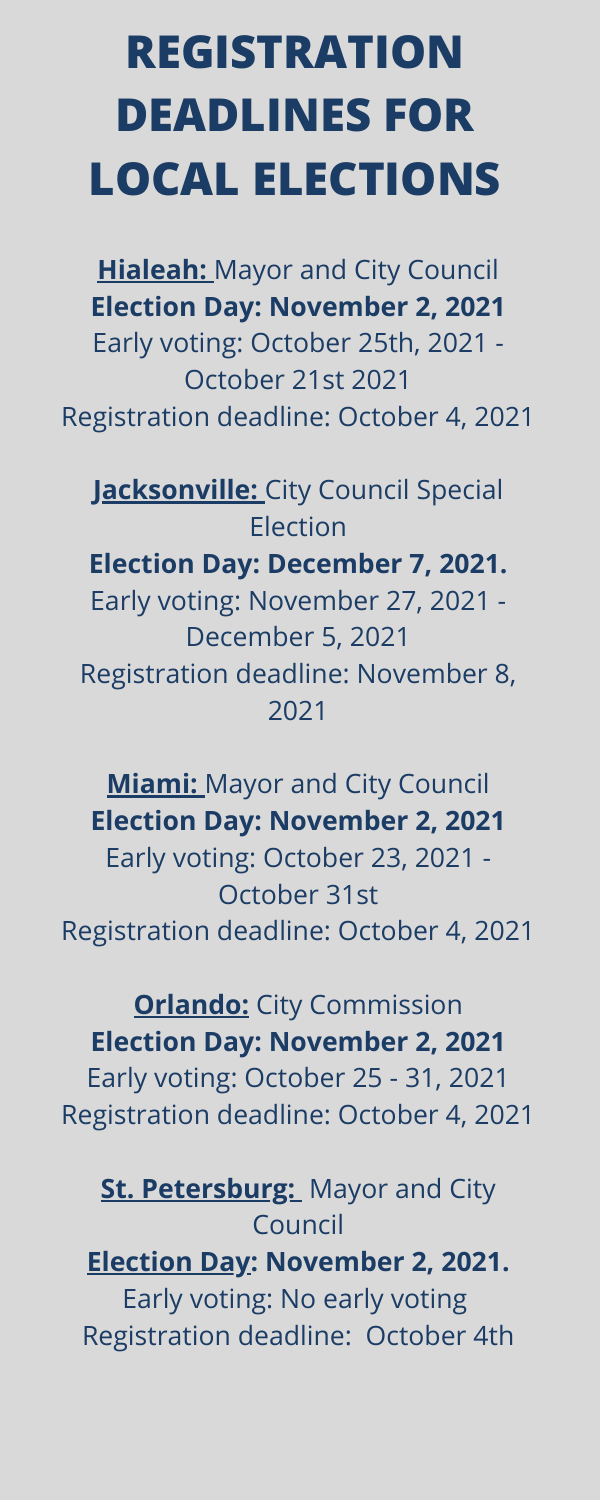# **REGISTRATION DEADLINES FOR LOCAL ELECTIONS**

**Hialeah:** Mayor and City Council **Election Day: November 2, 2021** Early voting: October 25th, 2021 - October 21st 2021 Registration deadline: October 4, 2021

**Jacksonville:** City Council Special Election **Election Day: December 7, 2021.** Early voting: November 27, 2021 - December 5, 2021 Registration deadline: November 8, 2021

**Miami:** Mayor and City Council **Election Day: November 2, 2021**

Early voting: October 23, 2021 - October 31st Registration deadline: October 4, 2021

**Orlando:** City Commission **Election Day: November 2, 2021** Early voting: October 25 - 31, 2021 Registration deadline: October 4, 2021

**St. Petersburg:** Mayor and City Council **Election Day: November 2, 2021.** Early voting: No early voting Registration deadline: October 4th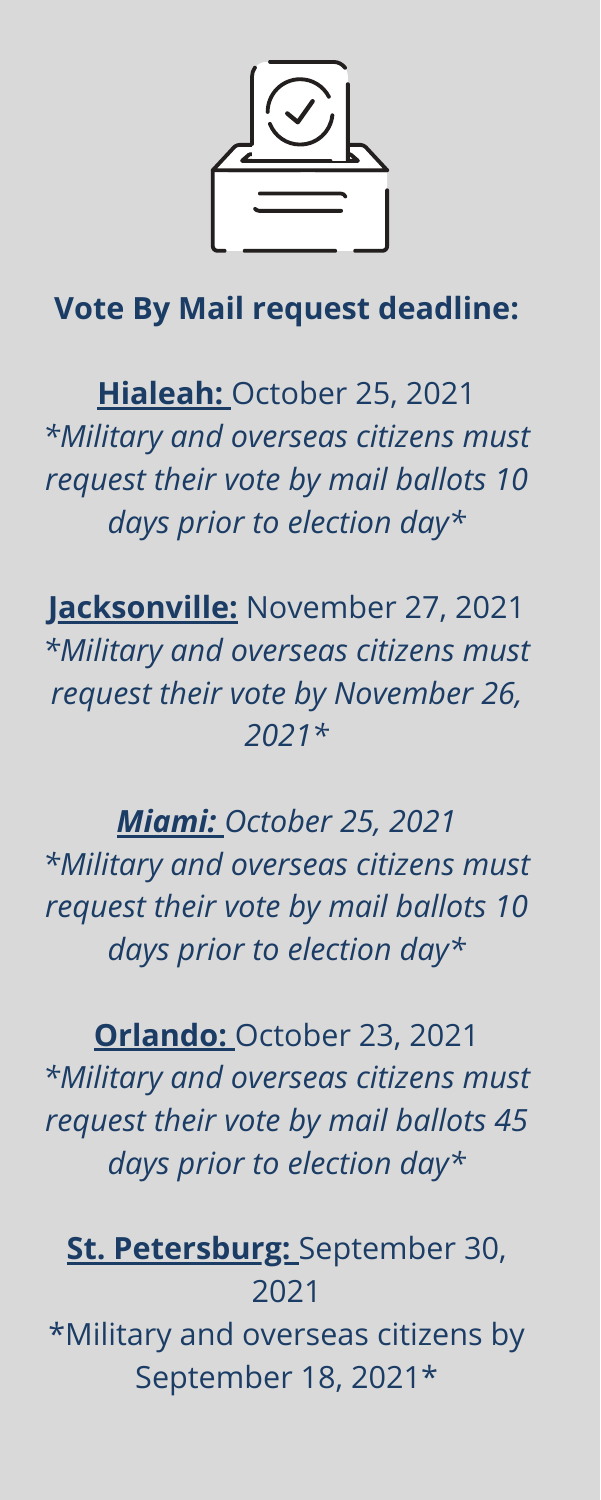

### **Vote By Mail request deadline:**

**Hialeah:** October 25, 2021 *\*Military and overseas citizens must request their vote by mail ballots 10 days prior to election day\**

**Jacksonville:** November 27, 2021 *\*Military and overseas citizens must request their vote by November 26, 2021\**

*Miami: October 25, 2021 \*Military and overseas citizens must request their vote by mail ballots 10 days prior to election day\**

**Orlando:** October 23, 2021 *\*Military and overseas citizens must request their vote by mail ballots 45 days prior to election day\**

### **St. Petersburg:** September 30, 2021

\*Military and overseas citizens by September 18, 2021\*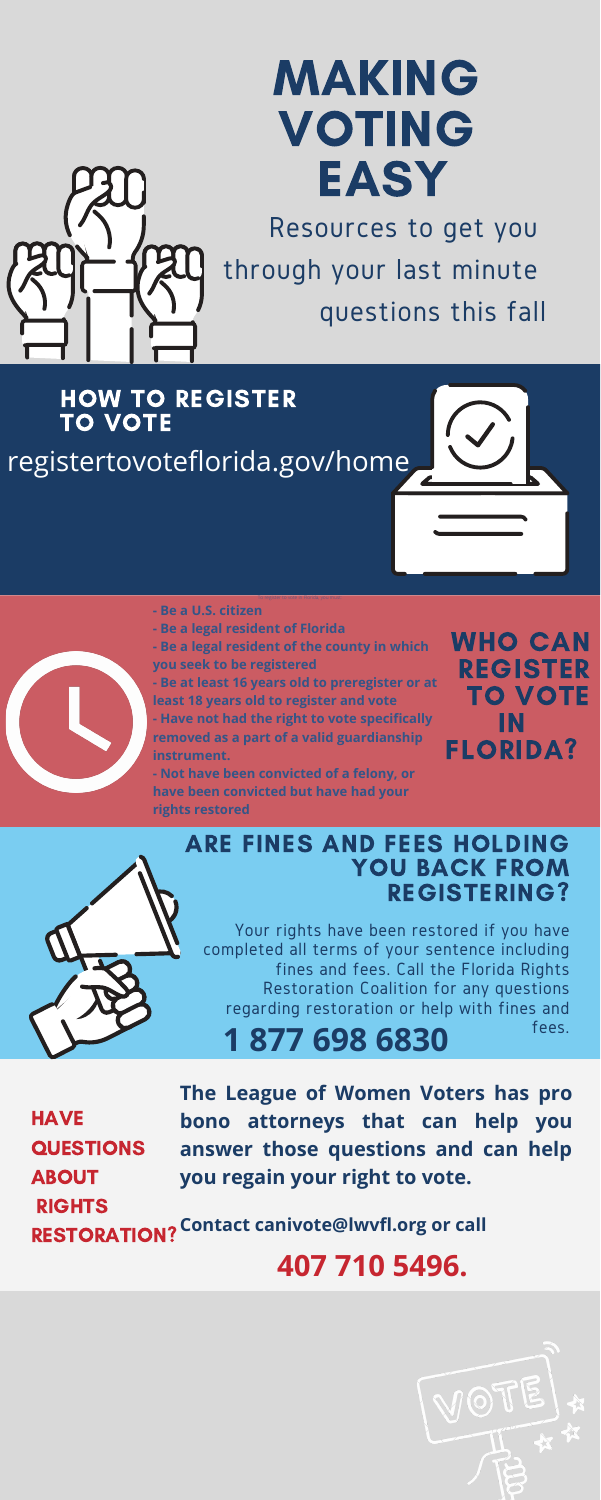**HAVE QUESTIONS** ABOUT RIGHTS

**The League of Women Voters has pro bono attorneys that can help you answer those questions and can help you regain your right to vote.**

RESTORATION? **Contact [canivote@lwvfl.org](mailto:canivote@lwvfl.org) or call**







## MAKING VOTING EASY

Resources to get you through your last minute questions this fall

HOW TO REGISTER TO VOTE

registertovoteflorida.gov/home





- **- Be a U.S. citizen**
- **- Be a legal resident of Florida**
- **- Be a legal resident of the county in which you seek to be registered**
- **- Be at least 16 years old to preregister or at least 18 years old to register and vote - Have not had the right to vote specifically removed as a part of a valid guardianship instrument.**

**- Not have been convicted of a felony, or have been convicted but have had your rights restored**

WHO CAN REGISTER TO VOTE IN FLORIDA?

Your rights have been restored if you have completed all terms of your sentence including fines and fees. Call the Florida Rights Restoration Coalition for any questions regarding restoration or help with fines and fees. **1 877 698 6830**

ARE FINES AND FEES HOLDING YOU BACK FROM REGISTERING?